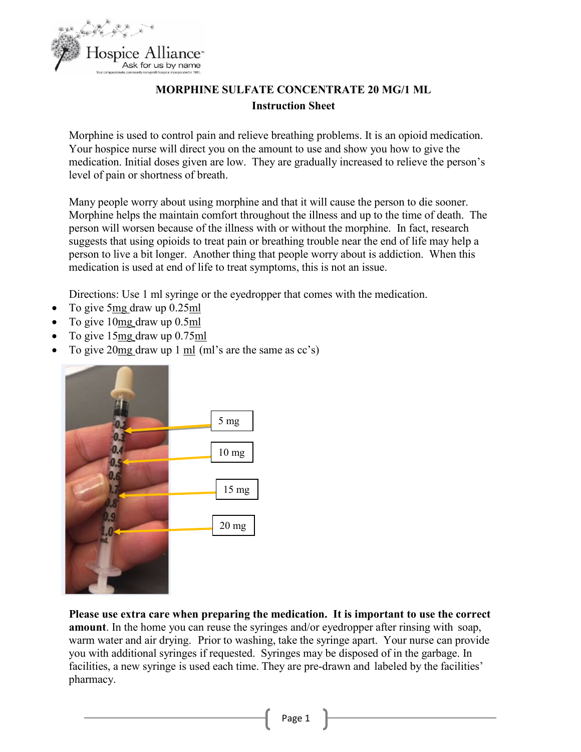

## **MORPHINE SULFATE CONCENTRATE 20 MG/1 ML Instruction Sheet**

Morphine is used to control pain and relieve breathing problems. It is an opioid medication. Your hospice nurse will direct you on the amount to use and show you how to give the medication. Initial doses given are low. They are gradually increased to relieve the person's level of pain or shortness of breath.

Many people worry about using morphine and that it will cause the person to die sooner. Morphine helps the maintain comfort throughout the illness and up to the time of death. The person will worsen because of the illness with or without the morphine. In fact, research suggests that using opioids to treat pain or breathing trouble near the end of life may help a person to live a bit longer. Another thing that people worry about is addiction. When this medication is used at end of life to treat symptoms, this is not an issue.

Directions: Use 1 ml syringe or the eyedropper that comes with the medication.

- To give  $5mg$  draw up  $0.25ml$
- To give 10mg draw up 0.5ml
- To give 15mg draw up 0.75ml
- To give 20mg draw up 1 ml (ml's are the same as cc's)



**Please use extra care when preparing the medication. It is important to use the correct amount**. In the home you can reuse the syringes and/or eyedropper after rinsing with soap, warm water and air drying. Prior to washing, take the syringe apart. Your nurse can provide you with additional syringes if requested. Syringes may be disposed of in the garbage. In facilities, a new syringe is used each time. They are pre-drawn and labeled by the facilities' pharmacy.